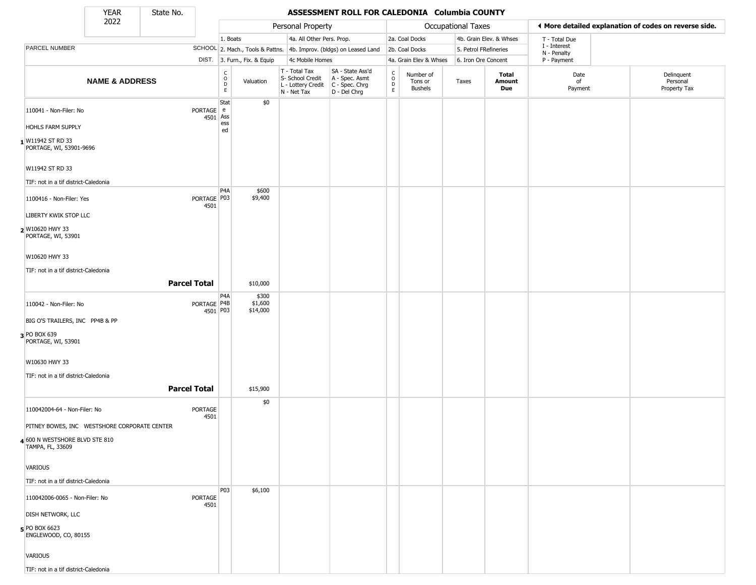State No.

ı

### **YEAR** State No. **ASSESSMENT ROLL FOR CALEDONIA Columbia COUNTY**

|                                                    | 2022                      |                        |                                                          |                              | Personal Property                                                      |                                                                        |                                                                    |                                        | Occupational Taxes    |                         | ◀ More detailed explanation of codes on reverse side. |                                        |
|----------------------------------------------------|---------------------------|------------------------|----------------------------------------------------------|------------------------------|------------------------------------------------------------------------|------------------------------------------------------------------------|--------------------------------------------------------------------|----------------------------------------|-----------------------|-------------------------|-------------------------------------------------------|----------------------------------------|
|                                                    |                           |                        | 1. Boats                                                 |                              | 4a. All Other Pers. Prop.                                              |                                                                        |                                                                    | 2a. Coal Docks                         |                       | 4b. Grain Elev. & Whses | T - Total Due                                         |                                        |
| PARCEL NUMBER                                      |                           |                        |                                                          |                              |                                                                        | SCHOOL 2. Mach., Tools & Pattns. 4b. Improv. (bldgs) on Leased Land    |                                                                    | 2b. Coal Docks                         | 5. Petrol FRefineries |                         | I - Interest<br>N - Penalty                           |                                        |
|                                                    |                           |                        |                                                          | DIST. 3. Furn., Fix. & Equip | 4c Mobile Homes                                                        |                                                                        |                                                                    | 4a. Grain Elev & Whses                 | 6. Iron Ore Concent   |                         | P - Payment                                           |                                        |
|                                                    | <b>NAME &amp; ADDRESS</b> |                        | $\begin{matrix} 0 \\ 0 \\ D \end{matrix}$<br>$\mathsf E$ | Valuation                    | T - Total Tax<br>S- School Credit<br>L - Lottery Credit<br>N - Net Tax | SA - State Ass'd<br>A - Spec. Asmt<br>$C - Spec. Chrg$<br>D - Del Chrg | $\begin{smallmatrix} C \\ 0 \\ D \end{smallmatrix}$<br>$\mathsf E$ | Number of<br>Tons or<br><b>Bushels</b> | Taxes                 | Total<br>Amount<br>Due  | Date<br>of<br>Payment                                 | Delinquent<br>Personal<br>Property Tax |
| 110041 - Non-Filer: No                             |                           | PORTAGE e              | Stat<br>4501 Ass                                         | \$0                          |                                                                        |                                                                        |                                                                    |                                        |                       |                         |                                                       |                                        |
| <b>HOHLS FARM SUPPLY</b>                           |                           |                        | ess<br>ed                                                |                              |                                                                        |                                                                        |                                                                    |                                        |                       |                         |                                                       |                                        |
| W11942 ST RD 33<br>PORTAGE, WI, 53901-9696         |                           |                        |                                                          |                              |                                                                        |                                                                        |                                                                    |                                        |                       |                         |                                                       |                                        |
| W11942 ST RD 33                                    |                           |                        |                                                          |                              |                                                                        |                                                                        |                                                                    |                                        |                       |                         |                                                       |                                        |
| TIF: not in a tif district-Caledonia               |                           |                        |                                                          |                              |                                                                        |                                                                        |                                                                    |                                        |                       |                         |                                                       |                                        |
| 1100416 - Non-Filer: Yes                           |                           | PORTAGE   P03<br>4501  | P4A                                                      | \$600<br>\$9,400             |                                                                        |                                                                        |                                                                    |                                        |                       |                         |                                                       |                                        |
| LIBERTY KWIK STOP LLC                              |                           |                        |                                                          |                              |                                                                        |                                                                        |                                                                    |                                        |                       |                         |                                                       |                                        |
| 2 W10620 HWY 33<br>PORTAGE, WI, 53901              |                           |                        |                                                          |                              |                                                                        |                                                                        |                                                                    |                                        |                       |                         |                                                       |                                        |
| W10620 HWY 33                                      |                           |                        |                                                          |                              |                                                                        |                                                                        |                                                                    |                                        |                       |                         |                                                       |                                        |
| TIF: not in a tif district-Caledonia               |                           |                        |                                                          |                              |                                                                        |                                                                        |                                                                    |                                        |                       |                         |                                                       |                                        |
|                                                    |                           | <b>Parcel Total</b>    |                                                          | \$10,000                     |                                                                        |                                                                        |                                                                    |                                        |                       |                         |                                                       |                                        |
| 110042 - Non-Filer: No                             |                           | PORTAGE P4B            | P4A<br>4501 P03                                          | \$300<br>\$1,600<br>\$14,000 |                                                                        |                                                                        |                                                                    |                                        |                       |                         |                                                       |                                        |
| BIG O'S TRAILERS, INC PP4B & PP                    |                           |                        |                                                          |                              |                                                                        |                                                                        |                                                                    |                                        |                       |                         |                                                       |                                        |
| 3 PO BOX 639<br>PORTAGE, WI, 53901                 |                           |                        |                                                          |                              |                                                                        |                                                                        |                                                                    |                                        |                       |                         |                                                       |                                        |
| W10630 HWY 33                                      |                           |                        |                                                          |                              |                                                                        |                                                                        |                                                                    |                                        |                       |                         |                                                       |                                        |
| TIF: not in a tif district-Caledonia               |                           |                        |                                                          |                              |                                                                        |                                                                        |                                                                    |                                        |                       |                         |                                                       |                                        |
|                                                    |                           | <b>Parcel Total</b>    |                                                          | \$15,900                     |                                                                        |                                                                        |                                                                    |                                        |                       |                         |                                                       |                                        |
| 110042004-64 - Non-Filer: No                       |                           | <b>PORTAGE</b><br>4501 |                                                          | \$0                          |                                                                        |                                                                        |                                                                    |                                        |                       |                         |                                                       |                                        |
| PITNEY BOWES, INC WESTSHORE CORPORATE CENTER       |                           |                        |                                                          |                              |                                                                        |                                                                        |                                                                    |                                        |                       |                         |                                                       |                                        |
| 4 600 N WESTSHORE BLVD STE 810<br>TAMPA, FL, 33609 |                           |                        |                                                          |                              |                                                                        |                                                                        |                                                                    |                                        |                       |                         |                                                       |                                        |
| VARIOUS                                            |                           |                        |                                                          |                              |                                                                        |                                                                        |                                                                    |                                        |                       |                         |                                                       |                                        |
| TIF: not in a tif district-Caledonia               |                           |                        |                                                          |                              |                                                                        |                                                                        |                                                                    |                                        |                       |                         |                                                       |                                        |
| 110042006-0065 - Non-Filer: No                     |                           | PORTAGE<br>4501        | P03                                                      | \$6,100                      |                                                                        |                                                                        |                                                                    |                                        |                       |                         |                                                       |                                        |
| <b>DISH NETWORK, LLC</b>                           |                           |                        |                                                          |                              |                                                                        |                                                                        |                                                                    |                                        |                       |                         |                                                       |                                        |
| 5 PO BOX 6623<br>ENGLEWOOD, CO, 80155              |                           |                        |                                                          |                              |                                                                        |                                                                        |                                                                    |                                        |                       |                         |                                                       |                                        |
| <b>VARIOUS</b>                                     |                           |                        |                                                          |                              |                                                                        |                                                                        |                                                                    |                                        |                       |                         |                                                       |                                        |
| TIF: not in a tif district-Caledonia               |                           |                        |                                                          |                              |                                                                        |                                                                        |                                                                    |                                        |                       |                         |                                                       |                                        |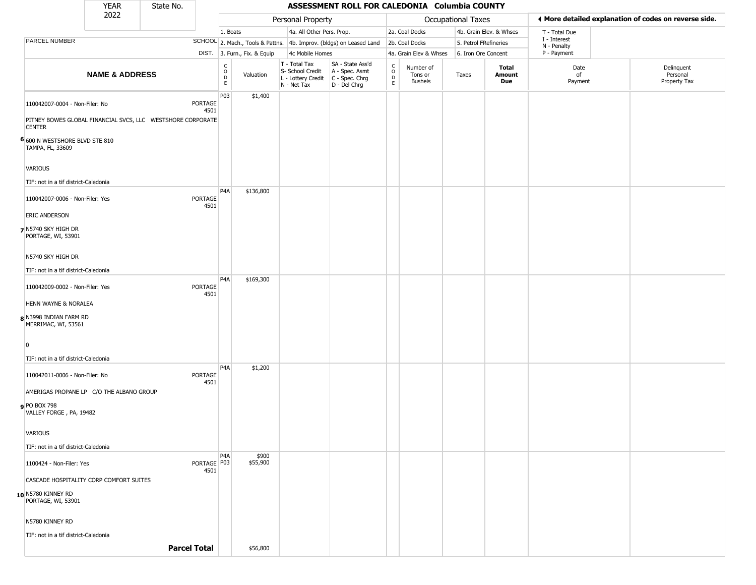|                                                                              | <b>YEAR</b>               | State No. |                       |                                                          |                              |                              |                           | ASSESSMENT ROLL FOR CALEDONIA Columbia COUNTY                                             |                                                |                                        |                    |                         |                             |                                                       |
|------------------------------------------------------------------------------|---------------------------|-----------|-----------------------|----------------------------------------------------------|------------------------------|------------------------------|---------------------------|-------------------------------------------------------------------------------------------|------------------------------------------------|----------------------------------------|--------------------|-------------------------|-----------------------------|-------------------------------------------------------|
|                                                                              | 2022                      |           |                       |                                                          |                              |                              | Personal Property         |                                                                                           |                                                |                                        | Occupational Taxes |                         |                             | ◀ More detailed explanation of codes on reverse side. |
|                                                                              |                           |           |                       | 1. Boats                                                 |                              |                              | 4a. All Other Pers. Prop. |                                                                                           |                                                | 2a. Coal Docks                         |                    | 4b. Grain Elev. & Whses | T - Total Due               |                                                       |
| PARCEL NUMBER                                                                |                           |           |                       |                                                          |                              |                              |                           | SCHOOL 2. Mach., Tools & Pattns. 4b. Improv. (bldgs) on Leased Land                       |                                                | 2b. Coal Docks                         |                    | 5. Petrol FRefineries   | I - Interest<br>N - Penalty |                                                       |
|                                                                              |                           |           |                       |                                                          | DIST. 3. Furn., Fix. & Equip |                              | 4c Mobile Homes           |                                                                                           |                                                | 4a. Grain Elev & Whses                 |                    | 6. Iron Ore Concent     | P - Payment                 |                                                       |
|                                                                              | <b>NAME &amp; ADDRESS</b> |           |                       | $\begin{smallmatrix} C \\ 0 \\ D \end{smallmatrix}$<br>E | Valuation                    | T - Total Tax<br>N - Net Tax | S- School Credit          | SA - State Ass'd<br>A - Spec. Asmt<br>L - Lottery Credit   C - Spec. Chrg<br>D - Del Chrg | $\begin{matrix} 0 \\ 0 \\ D \end{matrix}$<br>E | Number of<br>Tons or<br><b>Bushels</b> | Taxes              | Total<br>Amount<br>Due  | Date<br>of<br>Payment       | Delinquent<br>Personal<br>Property Tax                |
| 110042007-0004 - Non-Filer: No                                               |                           |           | PORTAGE<br>4501       | P03                                                      | \$1,400                      |                              |                           |                                                                                           |                                                |                                        |                    |                         |                             |                                                       |
| PITNEY BOWES GLOBAL FINANCIAL SVCS, LLC WESTSHORE CORPORATE<br><b>CENTER</b> |                           |           |                       |                                                          |                              |                              |                           |                                                                                           |                                                |                                        |                    |                         |                             |                                                       |
| 6 600 N WESTSHORE BLVD STE 810<br>TAMPA, FL, 33609                           |                           |           |                       |                                                          |                              |                              |                           |                                                                                           |                                                |                                        |                    |                         |                             |                                                       |
| VARIOUS<br>TIF: not in a tif district-Caledonia                              |                           |           |                       |                                                          |                              |                              |                           |                                                                                           |                                                |                                        |                    |                         |                             |                                                       |
| 110042007-0006 - Non-Filer: Yes                                              |                           |           | PORTAGE<br>4501       | P <sub>4</sub> A                                         | \$136,800                    |                              |                           |                                                                                           |                                                |                                        |                    |                         |                             |                                                       |
| <b>ERIC ANDERSON</b><br>7 N5740 SKY HIGH DR<br>PORTAGE, WI, 53901            |                           |           |                       |                                                          |                              |                              |                           |                                                                                           |                                                |                                        |                    |                         |                             |                                                       |
| N5740 SKY HIGH DR                                                            |                           |           |                       |                                                          |                              |                              |                           |                                                                                           |                                                |                                        |                    |                         |                             |                                                       |
| TIF: not in a tif district-Caledonia                                         |                           |           |                       |                                                          |                              |                              |                           |                                                                                           |                                                |                                        |                    |                         |                             |                                                       |
| 110042009-0002 - Non-Filer: Yes                                              |                           |           | PORTAGE<br>4501       | P4A                                                      | \$169,300                    |                              |                           |                                                                                           |                                                |                                        |                    |                         |                             |                                                       |
| HENN WAYNE & NORALEA                                                         |                           |           |                       |                                                          |                              |                              |                           |                                                                                           |                                                |                                        |                    |                         |                             |                                                       |
| 8 N3998 INDIAN FARM RD<br>MERRIMAC, WI, 53561                                |                           |           |                       |                                                          |                              |                              |                           |                                                                                           |                                                |                                        |                    |                         |                             |                                                       |
| $\Omega$<br>TIF: not in a tif district-Caledonia                             |                           |           |                       |                                                          |                              |                              |                           |                                                                                           |                                                |                                        |                    |                         |                             |                                                       |
|                                                                              |                           |           |                       | P <sub>4</sub> A                                         | \$1,200                      |                              |                           |                                                                                           |                                                |                                        |                    |                         |                             |                                                       |
| 110042011-0006 - Non-Filer: No<br>AMERIGAS PROPANE LP C/O THE ALBANO GROUP   |                           |           | PORTAGE<br>4501       |                                                          |                              |                              |                           |                                                                                           |                                                |                                        |                    |                         |                             |                                                       |
| <b>9</b> PO BOX 798<br>VALLEY FORGE, PA, 19482                               |                           |           |                       |                                                          |                              |                              |                           |                                                                                           |                                                |                                        |                    |                         |                             |                                                       |
| <b>VARIOUS</b>                                                               |                           |           |                       |                                                          |                              |                              |                           |                                                                                           |                                                |                                        |                    |                         |                             |                                                       |
| TIF: not in a tif district-Caledonia                                         |                           |           |                       |                                                          |                              |                              |                           |                                                                                           |                                                |                                        |                    |                         |                             |                                                       |
| 1100424 - Non-Filer: Yes                                                     |                           |           | PORTAGE   P03<br>4501 | P <sub>4</sub> A                                         | \$900<br>\$55,900            |                              |                           |                                                                                           |                                                |                                        |                    |                         |                             |                                                       |
| CASCADE HOSPITALITY CORP COMFORT SUITES                                      |                           |           |                       |                                                          |                              |                              |                           |                                                                                           |                                                |                                        |                    |                         |                             |                                                       |
| 10 N5780 KINNEY RD<br>PORTAGE, WI, 53901                                     |                           |           |                       |                                                          |                              |                              |                           |                                                                                           |                                                |                                        |                    |                         |                             |                                                       |
| N5780 KINNEY RD                                                              |                           |           |                       |                                                          |                              |                              |                           |                                                                                           |                                                |                                        |                    |                         |                             |                                                       |
| TIF: not in a tif district-Caledonia                                         |                           |           |                       |                                                          |                              |                              |                           |                                                                                           |                                                |                                        |                    |                         |                             |                                                       |
|                                                                              |                           |           | <b>Parcel Total</b>   |                                                          | \$56,800                     |                              |                           |                                                                                           |                                                |                                        |                    |                         |                             |                                                       |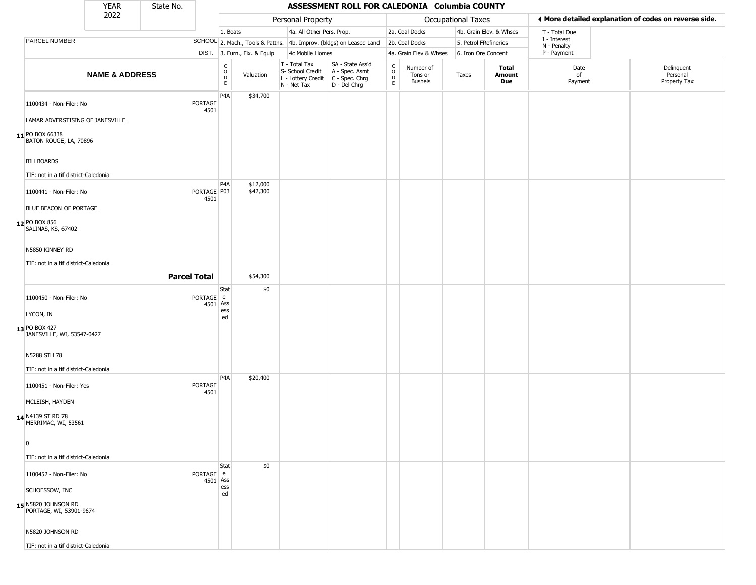|                                                | <b>YEAR</b>               | State No.           |                       |                                            |                              |                                                                        | ASSESSMENT ROLL FOR CALEDONIA Columbia COUNTY                        |                                               |                                        |                       |                         |                             |                                                       |
|------------------------------------------------|---------------------------|---------------------|-----------------------|--------------------------------------------|------------------------------|------------------------------------------------------------------------|----------------------------------------------------------------------|-----------------------------------------------|----------------------------------------|-----------------------|-------------------------|-----------------------------|-------------------------------------------------------|
|                                                | 2022                      |                     |                       |                                            |                              | Personal Property                                                      |                                                                      |                                               |                                        | Occupational Taxes    |                         |                             | ◀ More detailed explanation of codes on reverse side. |
|                                                |                           |                     |                       | 1. Boats                                   |                              | 4a. All Other Pers. Prop.                                              |                                                                      |                                               | 2a. Coal Docks                         |                       | 4b. Grain Elev. & Whses | T - Total Due               |                                                       |
| PARCEL NUMBER                                  |                           |                     |                       |                                            |                              |                                                                        | SCHOOL 2. Mach., Tools & Pattns. 4b. Improv. (bldgs) on Leased Land  |                                               | 2b. Coal Docks                         | 5. Petrol FRefineries |                         | I - Interest<br>N - Penalty |                                                       |
|                                                |                           |                     |                       |                                            | DIST. 3. Furn., Fix. & Equip | 4c Mobile Homes                                                        |                                                                      |                                               | 4a. Grain Elev & Whses                 | 6. Iron Ore Concent   |                         | P - Payment                 |                                                       |
|                                                | <b>NAME &amp; ADDRESS</b> |                     |                       | $\begin{array}{c} C \\ 0 \\ E \end{array}$ | Valuation                    | T - Total Tax<br>S- School Credit<br>L - Lottery Credit<br>N - Net Tax | SA - State Ass'd<br>A - Spec. Asmt<br>C - Spec. Chrg<br>D - Del Chrg | $\rm\frac{C}{O}$<br>$\mathsf{D}_{\mathsf{E}}$ | Number of<br>Tons or<br><b>Bushels</b> | Taxes                 | Total<br>Amount<br>Due  | Date<br>of<br>Payment       | Delinquent<br>Personal<br>Property Tax                |
| 1100434 - Non-Filer: No                        |                           |                     | PORTAGE<br>4501       | P4A                                        | \$34,700                     |                                                                        |                                                                      |                                               |                                        |                       |                         |                             |                                                       |
| LAMAR ADVERSTISING OF JANESVILLE               |                           |                     |                       |                                            |                              |                                                                        |                                                                      |                                               |                                        |                       |                         |                             |                                                       |
| 11 PO BOX 66338<br>BATON ROUGE, LA, 70896      |                           |                     |                       |                                            |                              |                                                                        |                                                                      |                                               |                                        |                       |                         |                             |                                                       |
| <b>BILLBOARDS</b>                              |                           |                     |                       |                                            |                              |                                                                        |                                                                      |                                               |                                        |                       |                         |                             |                                                       |
| TIF: not in a tif district-Caledonia           |                           |                     |                       |                                            |                              |                                                                        |                                                                      |                                               |                                        |                       |                         |                             |                                                       |
| 1100441 - Non-Filer: No                        |                           |                     | PORTAGE P03<br>4501   | P <sub>4</sub> A                           | \$12,000<br>\$42,300         |                                                                        |                                                                      |                                               |                                        |                       |                         |                             |                                                       |
| BLUE BEACON OF PORTAGE                         |                           |                     |                       |                                            |                              |                                                                        |                                                                      |                                               |                                        |                       |                         |                             |                                                       |
| 12 PO BOX 856<br>SALINAS, KS, 67402            |                           |                     |                       |                                            |                              |                                                                        |                                                                      |                                               |                                        |                       |                         |                             |                                                       |
| N5850 KINNEY RD                                |                           |                     |                       |                                            |                              |                                                                        |                                                                      |                                               |                                        |                       |                         |                             |                                                       |
| TIF: not in a tif district-Caledonia           |                           |                     |                       |                                            |                              |                                                                        |                                                                      |                                               |                                        |                       |                         |                             |                                                       |
|                                                |                           | <b>Parcel Total</b> |                       |                                            | \$54,300                     |                                                                        |                                                                      |                                               |                                        |                       |                         |                             |                                                       |
|                                                |                           |                     |                       | Stat                                       | \$0                          |                                                                        |                                                                      |                                               |                                        |                       |                         |                             |                                                       |
| 1100450 - Non-Filer: No                        |                           |                     | PORTAGE e<br>4501     | Ass<br>ess                                 |                              |                                                                        |                                                                      |                                               |                                        |                       |                         |                             |                                                       |
| LYCON, IN                                      |                           |                     |                       | ed                                         |                              |                                                                        |                                                                      |                                               |                                        |                       |                         |                             |                                                       |
| 13 PO BOX 427<br>JANESVILLE, WI, 53547-0427    |                           |                     |                       |                                            |                              |                                                                        |                                                                      |                                               |                                        |                       |                         |                             |                                                       |
| N5288 STH 78                                   |                           |                     |                       |                                            |                              |                                                                        |                                                                      |                                               |                                        |                       |                         |                             |                                                       |
| TIF: not in a tif district-Caledonia           |                           |                     |                       | P <sub>4</sub> A                           | \$20,400                     |                                                                        |                                                                      |                                               |                                        |                       |                         |                             |                                                       |
| 1100451 - Non-Filer: Yes                       |                           |                     | PORTAGE               |                                            |                              |                                                                        |                                                                      |                                               |                                        |                       |                         |                             |                                                       |
| MCLEISH, HAYDEN                                |                           |                     | 4501                  |                                            |                              |                                                                        |                                                                      |                                               |                                        |                       |                         |                             |                                                       |
| 14 N4139 ST RD 78<br>MERRIMAC, WI, 53561       |                           |                     |                       |                                            |                              |                                                                        |                                                                      |                                               |                                        |                       |                         |                             |                                                       |
| 0                                              |                           |                     |                       |                                            |                              |                                                                        |                                                                      |                                               |                                        |                       |                         |                             |                                                       |
|                                                |                           |                     |                       |                                            |                              |                                                                        |                                                                      |                                               |                                        |                       |                         |                             |                                                       |
| TIF: not in a tif district-Caledonia           |                           |                     |                       | <b>Stat</b>                                | \$0                          |                                                                        |                                                                      |                                               |                                        |                       |                         |                             |                                                       |
| 1100452 - Non-Filer: No                        |                           |                     | PORTAGE e<br>4501 Ass |                                            |                              |                                                                        |                                                                      |                                               |                                        |                       |                         |                             |                                                       |
| SCHOESSOW, INC                                 |                           |                     |                       | ess<br>ed                                  |                              |                                                                        |                                                                      |                                               |                                        |                       |                         |                             |                                                       |
| 15 N5820 JOHNSON RD<br>PORTAGE, WI, 53901-9674 |                           |                     |                       |                                            |                              |                                                                        |                                                                      |                                               |                                        |                       |                         |                             |                                                       |
| N5820 JOHNSON RD                               |                           |                     |                       |                                            |                              |                                                                        |                                                                      |                                               |                                        |                       |                         |                             |                                                       |
| TIF: not in a tif district-Caledonia           |                           |                     |                       |                                            |                              |                                                                        |                                                                      |                                               |                                        |                       |                         |                             |                                                       |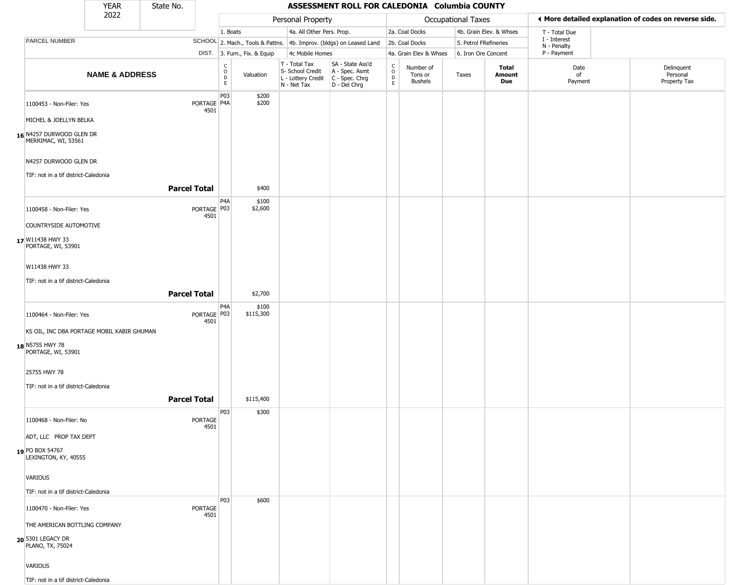|                                                 | <b>YEAR</b>                                | State No.           |                        |                                                |                              |                                                                                         | ASSESSMENT ROLL FOR CALEDONIA Columbia COUNTY                       |                         |                                 |                       |                         |                             |                                                       |
|-------------------------------------------------|--------------------------------------------|---------------------|------------------------|------------------------------------------------|------------------------------|-----------------------------------------------------------------------------------------|---------------------------------------------------------------------|-------------------------|---------------------------------|-----------------------|-------------------------|-----------------------------|-------------------------------------------------------|
|                                                 | 2022                                       |                     |                        |                                                |                              | Personal Property                                                                       |                                                                     |                         |                                 | Occupational Taxes    |                         |                             | I More detailed explanation of codes on reverse side. |
|                                                 |                                            |                     |                        | 1. Boats                                       |                              | 4a. All Other Pers. Prop.                                                               |                                                                     |                         | 2a. Coal Docks                  |                       | 4b. Grain Elev. & Whses | T - Total Due               |                                                       |
| PARCEL NUMBER                                   |                                            |                     |                        |                                                |                              |                                                                                         | SCHOOL 2. Mach., Tools & Pattns. 4b. Improv. (bldgs) on Leased Land |                         | 2b. Coal Docks                  | 5. Petrol FRefineries |                         | I - Interest<br>N - Penalty |                                                       |
|                                                 |                                            |                     |                        |                                                | DIST. 3. Furn., Fix. & Equip | 4c Mobile Homes                                                                         |                                                                     |                         | 4a. Grain Elev & Whses          | 6. Iron Ore Concent   |                         | P - Payment                 |                                                       |
|                                                 | <b>NAME &amp; ADDRESS</b>                  |                     |                        | $\begin{matrix} 0 \\ 0 \\ D \end{matrix}$<br>E | Valuation                    | T - Total Tax<br>S- School Credit<br>L - Lottery Credit   C - Spec. Chrg<br>N - Net Tax | SA - State Ass'd<br>A - Spec. Asmt<br>D - Del Chrg                  | C<br>$\circ$<br>D<br>E. | Number of<br>Tons or<br>Bushels | Taxes                 | Total<br>Amount<br>Due  | Date<br>of<br>Payment       | Delinquent<br>Personal<br>Property Tax                |
| 1100453 - Non-Filer: Yes                        |                                            |                     | PORTAGE P4A<br>4501    | P03                                            | \$200<br>\$200               |                                                                                         |                                                                     |                         |                                 |                       |                         |                             |                                                       |
| MICHEL & JOELLYN BELKA                          |                                            |                     |                        |                                                |                              |                                                                                         |                                                                     |                         |                                 |                       |                         |                             |                                                       |
| 16 N4257 DURWOOD GLEN DR<br>MERRIMAC, WI, 53561 |                                            |                     |                        |                                                |                              |                                                                                         |                                                                     |                         |                                 |                       |                         |                             |                                                       |
| N4257 DURWOOD GLEN DR                           |                                            |                     |                        |                                                |                              |                                                                                         |                                                                     |                         |                                 |                       |                         |                             |                                                       |
| TIF: not in a tif district-Caledonia            |                                            | <b>Parcel Total</b> |                        |                                                | \$400                        |                                                                                         |                                                                     |                         |                                 |                       |                         |                             |                                                       |
| 1100458 - Non-Filer: Yes                        |                                            |                     | PORTAGE   P03          | P <sub>4</sub> A                               | \$100<br>\$2,600             |                                                                                         |                                                                     |                         |                                 |                       |                         |                             |                                                       |
| COUNTRYSIDE AUTOMOTIVE                          |                                            |                     | 4501                   |                                                |                              |                                                                                         |                                                                     |                         |                                 |                       |                         |                             |                                                       |
| 17 W11438 HWY 33<br>PORTAGE, WI, 53901          |                                            |                     |                        |                                                |                              |                                                                                         |                                                                     |                         |                                 |                       |                         |                             |                                                       |
| W11438 HWY 33                                   |                                            |                     |                        |                                                |                              |                                                                                         |                                                                     |                         |                                 |                       |                         |                             |                                                       |
| TIF: not in a tif district-Caledonia            |                                            | <b>Parcel Total</b> |                        |                                                | \$2,700                      |                                                                                         |                                                                     |                         |                                 |                       |                         |                             |                                                       |
| 1100464 - Non-Filer: Yes                        |                                            |                     | PORTAGE   P03<br>4501  | P <sub>4</sub> A                               | \$100<br>\$115,300           |                                                                                         |                                                                     |                         |                                 |                       |                         |                             |                                                       |
|                                                 | KS OIL, INC DBA PORTAGE MOBIL KABIR GHUMAN |                     |                        |                                                |                              |                                                                                         |                                                                     |                         |                                 |                       |                         |                             |                                                       |
| 18 N5755 HWY 78<br>PORTAGE, WI, 53901           |                                            |                     |                        |                                                |                              |                                                                                         |                                                                     |                         |                                 |                       |                         |                             |                                                       |
| 25755 HWY 78                                    |                                            |                     |                        |                                                |                              |                                                                                         |                                                                     |                         |                                 |                       |                         |                             |                                                       |
| TIF: not in a tif district-Caledonia            |                                            | <b>Parcel Total</b> |                        |                                                | \$115,400                    |                                                                                         |                                                                     |                         |                                 |                       |                         |                             |                                                       |
| 1100468 - Non-Filer: No                         |                                            |                     | <b>PORTAGE</b><br>4501 | P03                                            | \$300                        |                                                                                         |                                                                     |                         |                                 |                       |                         |                             |                                                       |
| ADT, LLC PROP TAX DEPT                          |                                            |                     |                        |                                                |                              |                                                                                         |                                                                     |                         |                                 |                       |                         |                             |                                                       |
| 19 PO BOX 54767<br>LEXINGTON, KY, 40555         |                                            |                     |                        |                                                |                              |                                                                                         |                                                                     |                         |                                 |                       |                         |                             |                                                       |
| VARIOUS                                         |                                            |                     |                        |                                                |                              |                                                                                         |                                                                     |                         |                                 |                       |                         |                             |                                                       |
| TIF: not in a tif district-Caledonia            |                                            |                     |                        |                                                |                              |                                                                                         |                                                                     |                         |                                 |                       |                         |                             |                                                       |
| 1100470 - Non-Filer: Yes                        |                                            |                     | <b>PORTAGE</b><br>4501 | P03                                            | \$600                        |                                                                                         |                                                                     |                         |                                 |                       |                         |                             |                                                       |
| THE AMERICAN BOTTLING COMPANY                   |                                            |                     |                        |                                                |                              |                                                                                         |                                                                     |                         |                                 |                       |                         |                             |                                                       |
| 20 5301 LEGACY DR<br>PLANO, TX, 75024           |                                            |                     |                        |                                                |                              |                                                                                         |                                                                     |                         |                                 |                       |                         |                             |                                                       |
| <b>VARIOUS</b>                                  |                                            |                     |                        |                                                |                              |                                                                                         |                                                                     |                         |                                 |                       |                         |                             |                                                       |
| TIF: not in a tif district-Caledonia            |                                            |                     |                        |                                                |                              |                                                                                         |                                                                     |                         |                                 |                       |                         |                             |                                                       |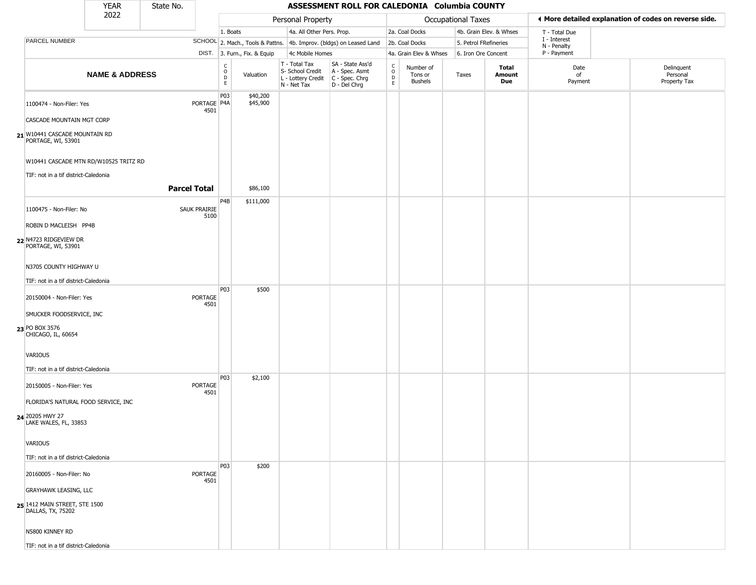|                                                                               | <b>YEAR</b>               | State No.            |                                                          |                              |                                                                                         | ASSESSMENT ROLL FOR CALEDONIA Columbia COUNTY                       |                                                          |                                        |                       |                         |                             |                                                       |
|-------------------------------------------------------------------------------|---------------------------|----------------------|----------------------------------------------------------|------------------------------|-----------------------------------------------------------------------------------------|---------------------------------------------------------------------|----------------------------------------------------------|----------------------------------------|-----------------------|-------------------------|-----------------------------|-------------------------------------------------------|
|                                                                               | 2022                      |                      |                                                          |                              | Personal Property                                                                       |                                                                     |                                                          |                                        | Occupational Taxes    |                         |                             | ◀ More detailed explanation of codes on reverse side. |
|                                                                               |                           |                      | 1. Boats                                                 |                              | 4a. All Other Pers. Prop.                                                               |                                                                     |                                                          | 2a. Coal Docks                         |                       | 4b. Grain Elev. & Whses | T - Total Due               |                                                       |
| PARCEL NUMBER                                                                 |                           |                      |                                                          |                              |                                                                                         | SCHOOL 2. Mach., Tools & Pattns. 4b. Improv. (bldgs) on Leased Land |                                                          | 2b. Coal Docks                         | 5. Petrol FRefineries |                         | I - Interest<br>N - Penalty |                                                       |
|                                                                               |                           |                      |                                                          | DIST. 3. Furn., Fix. & Equip | 4c Mobile Homes                                                                         |                                                                     |                                                          | 4a. Grain Elev & Whses                 | 6. Iron Ore Concent   |                         | P - Payment                 |                                                       |
|                                                                               | <b>NAME &amp; ADDRESS</b> |                      | $\begin{smallmatrix} C \\ O \\ D \end{smallmatrix}$<br>E | Valuation                    | T - Total Tax<br>S- School Credit<br>L - Lottery Credit   C - Spec. Chrg<br>N - Net Tax | SA - State Ass'd<br>A - Spec. Asmt<br>D - Del Chrg                  | $\begin{matrix} 0 \\ 0 \\ 0 \end{matrix}$<br>$\mathsf E$ | Number of<br>Tons or<br><b>Bushels</b> | Taxes                 | Total<br>Amount<br>Due  | Date<br>of<br>Payment       | Delinquent<br>Personal<br>Property Tax                |
| 1100474 - Non-Filer: Yes<br>CASCADE MOUNTAIN MGT CORP                         |                           | PORTAGE P4A<br>4501  | P03                                                      | \$40,200<br>\$45,900         |                                                                                         |                                                                     |                                                          |                                        |                       |                         |                             |                                                       |
| 21 W10441 CASCADE MOUNTAIN RD<br>PORTAGE, WI, 53901                           |                           |                      |                                                          |                              |                                                                                         |                                                                     |                                                          |                                        |                       |                         |                             |                                                       |
| W10441 CASCADE MTN RD/W10525 TRITZ RD<br>TIF: not in a tif district-Caledonia |                           |                      |                                                          |                              |                                                                                         |                                                                     |                                                          |                                        |                       |                         |                             |                                                       |
|                                                                               |                           | <b>Parcel Total</b>  |                                                          | \$86,100                     |                                                                                         |                                                                     |                                                          |                                        |                       |                         |                             |                                                       |
| 1100475 - Non-Filer: No                                                       |                           | SAUK PRAIRIE<br>5100 | P <sub>4</sub> B                                         | \$111,000                    |                                                                                         |                                                                     |                                                          |                                        |                       |                         |                             |                                                       |
| ROBIN D MACLEISH PP4B                                                         |                           |                      |                                                          |                              |                                                                                         |                                                                     |                                                          |                                        |                       |                         |                             |                                                       |
| 22 N4723 RIDGEVIEW DR<br>PORTAGE, WI, 53901                                   |                           |                      |                                                          |                              |                                                                                         |                                                                     |                                                          |                                        |                       |                         |                             |                                                       |
| N3705 COUNTY HIGHWAY U                                                        |                           |                      |                                                          |                              |                                                                                         |                                                                     |                                                          |                                        |                       |                         |                             |                                                       |
| TIF: not in a tif district-Caledonia                                          |                           |                      |                                                          |                              |                                                                                         |                                                                     |                                                          |                                        |                       |                         |                             |                                                       |
| 20150004 - Non-Filer: Yes                                                     |                           | PORTAGE<br>4501      | <b>P03</b>                                               | \$500                        |                                                                                         |                                                                     |                                                          |                                        |                       |                         |                             |                                                       |
| SMUCKER FOODSERVICE, INC                                                      |                           |                      |                                                          |                              |                                                                                         |                                                                     |                                                          |                                        |                       |                         |                             |                                                       |
| 23 PO BOX 3576<br>CHICAGO, IL, 60654                                          |                           |                      |                                                          |                              |                                                                                         |                                                                     |                                                          |                                        |                       |                         |                             |                                                       |
| VARIOUS                                                                       |                           |                      |                                                          |                              |                                                                                         |                                                                     |                                                          |                                        |                       |                         |                             |                                                       |
| TIF: not in a tif district-Caledonia<br>20150005 - Non-Filer: Yes             |                           | PORTAGE              | P03                                                      | \$2,100                      |                                                                                         |                                                                     |                                                          |                                        |                       |                         |                             |                                                       |
| FLORIDA'S NATURAL FOOD SERVICE, INC                                           |                           | 4501                 |                                                          |                              |                                                                                         |                                                                     |                                                          |                                        |                       |                         |                             |                                                       |
| 24 20205 HWY 27<br>LAKE WALES, FL, 33853                                      |                           |                      |                                                          |                              |                                                                                         |                                                                     |                                                          |                                        |                       |                         |                             |                                                       |
| <b>VARIOUS</b>                                                                |                           |                      |                                                          |                              |                                                                                         |                                                                     |                                                          |                                        |                       |                         |                             |                                                       |
| TIF: not in a tif district-Caledonia                                          |                           |                      |                                                          |                              |                                                                                         |                                                                     |                                                          |                                        |                       |                         |                             |                                                       |
| 20160005 - Non-Filer: No                                                      |                           | PORTAGE<br>4501      | <b>P03</b>                                               | \$200                        |                                                                                         |                                                                     |                                                          |                                        |                       |                         |                             |                                                       |
| <b>GRAYHAWK LEASING, LLC</b>                                                  |                           |                      |                                                          |                              |                                                                                         |                                                                     |                                                          |                                        |                       |                         |                             |                                                       |
| 25 1412 MAIN STREET, STE 1500<br>DALLAS, TX, 75202                            |                           |                      |                                                          |                              |                                                                                         |                                                                     |                                                          |                                        |                       |                         |                             |                                                       |
| N5800 KINNEY RD                                                               |                           |                      |                                                          |                              |                                                                                         |                                                                     |                                                          |                                        |                       |                         |                             |                                                       |
| TIF: not in a tif district-Caledonia                                          |                           |                      |                                                          |                              |                                                                                         |                                                                     |                                                          |                                        |                       |                         |                             |                                                       |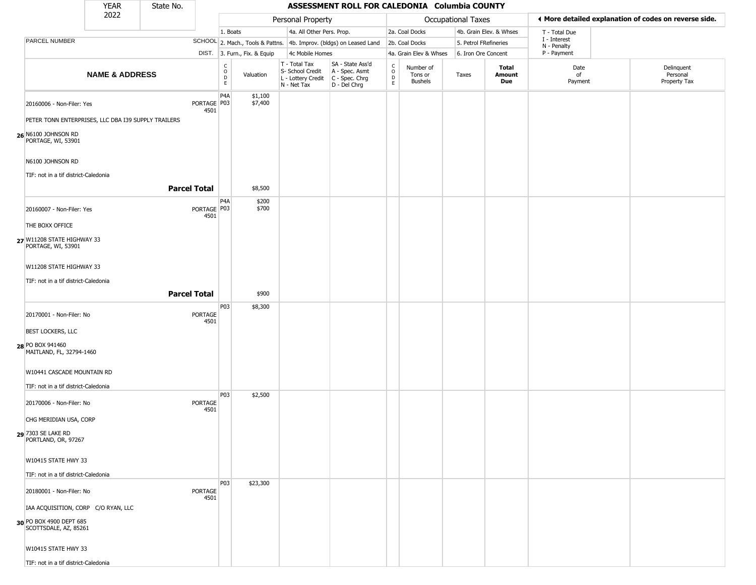|                                                      | <b>YEAR</b>                                         | State No.           |                       |                                |                              |                                                  | ASSESSMENT ROLL FOR CALEDONIA Columbia COUNTY                                             |                                                |                                        |                           |                         |                             |                                                       |
|------------------------------------------------------|-----------------------------------------------------|---------------------|-----------------------|--------------------------------|------------------------------|--------------------------------------------------|-------------------------------------------------------------------------------------------|------------------------------------------------|----------------------------------------|---------------------------|-------------------------|-----------------------------|-------------------------------------------------------|
| 2022                                                 |                                                     |                     |                       |                                |                              | Personal Property                                |                                                                                           |                                                |                                        | <b>Occupational Taxes</b> |                         |                             | ♦ More detailed explanation of codes on reverse side. |
|                                                      |                                                     |                     |                       | 1. Boats                       |                              | 4a. All Other Pers. Prop.                        |                                                                                           |                                                | 2a. Coal Docks                         |                           | 4b. Grain Elev. & Whses | T - Total Due               |                                                       |
| PARCEL NUMBER                                        |                                                     |                     |                       |                                |                              |                                                  | SCHOOL 2. Mach., Tools & Pattns. 4b. Improv. (bldgs) on Leased Land                       |                                                | 2b. Coal Docks                         | 5. Petrol FRefineries     |                         | I - Interest<br>N - Penalty |                                                       |
|                                                      |                                                     |                     |                       |                                | DIST. 3. Furn., Fix. & Equip | 4c Mobile Homes                                  |                                                                                           |                                                | 4a. Grain Elev & Whses                 | 6. Iron Ore Concent       |                         | P - Payment                 |                                                       |
|                                                      | <b>NAME &amp; ADDRESS</b>                           |                     |                       | $\rm _o^C$<br>$\mathsf D$<br>E | Valuation                    | T - Total Tax<br>S- School Credit<br>N - Net Tax | SA - State Ass'd<br>A - Spec. Asmt<br>L - Lottery Credit   C - Spec. Chrg<br>D - Del Chrg | $\begin{matrix} 0 \\ 0 \\ D \end{matrix}$<br>E | Number of<br>Tons or<br><b>Bushels</b> | Taxes                     | Total<br>Amount<br>Due  | Date<br>of<br>Payment       | Delinquent<br>Personal<br>Property Tax                |
| 20160006 - Non-Filer: Yes                            |                                                     |                     | PORTAGE   P03<br>4501 | P <sub>4</sub> A               | \$1,100<br>\$7,400           |                                                  |                                                                                           |                                                |                                        |                           |                         |                             |                                                       |
|                                                      | PETER TONN ENTERPRISES, LLC DBA I39 SUPPLY TRAILERS |                     |                       |                                |                              |                                                  |                                                                                           |                                                |                                        |                           |                         |                             |                                                       |
| 26 N6100 JOHNSON RD<br>PORTAGE, WI, 53901            |                                                     |                     |                       |                                |                              |                                                  |                                                                                           |                                                |                                        |                           |                         |                             |                                                       |
| N6100 JOHNSON RD                                     |                                                     |                     |                       |                                |                              |                                                  |                                                                                           |                                                |                                        |                           |                         |                             |                                                       |
| TIF: not in a tif district-Caledonia                 |                                                     |                     |                       |                                |                              |                                                  |                                                                                           |                                                |                                        |                           |                         |                             |                                                       |
|                                                      |                                                     | <b>Parcel Total</b> |                       |                                | \$8,500                      |                                                  |                                                                                           |                                                |                                        |                           |                         |                             |                                                       |
| 20160007 - Non-Filer: Yes                            |                                                     |                     | PORTAGE   P03<br>4501 | P <sub>4</sub> A               | \$200<br>\$700               |                                                  |                                                                                           |                                                |                                        |                           |                         |                             |                                                       |
| THE BOXX OFFICE                                      |                                                     |                     |                       |                                |                              |                                                  |                                                                                           |                                                |                                        |                           |                         |                             |                                                       |
| 27 W11208 STATE HIGHWAY 33<br>PORTAGE, WI, 53901     |                                                     |                     |                       |                                |                              |                                                  |                                                                                           |                                                |                                        |                           |                         |                             |                                                       |
| W11208 STATE HIGHWAY 33                              |                                                     |                     |                       |                                |                              |                                                  |                                                                                           |                                                |                                        |                           |                         |                             |                                                       |
| TIF: not in a tif district-Caledonia                 |                                                     |                     |                       |                                |                              |                                                  |                                                                                           |                                                |                                        |                           |                         |                             |                                                       |
|                                                      |                                                     | <b>Parcel Total</b> |                       |                                | \$900                        |                                                  |                                                                                           |                                                |                                        |                           |                         |                             |                                                       |
|                                                      |                                                     |                     |                       | P03                            | \$8,300                      |                                                  |                                                                                           |                                                |                                        |                           |                         |                             |                                                       |
| 20170001 - Non-Filer: No<br><b>BEST LOCKERS, LLC</b> |                                                     |                     | PORTAGE<br>4501       |                                |                              |                                                  |                                                                                           |                                                |                                        |                           |                         |                             |                                                       |
|                                                      |                                                     |                     |                       |                                |                              |                                                  |                                                                                           |                                                |                                        |                           |                         |                             |                                                       |
| 28 PO BOX 941460<br>MAITLAND, FL, 32794-1460         |                                                     |                     |                       |                                |                              |                                                  |                                                                                           |                                                |                                        |                           |                         |                             |                                                       |
| W10441 CASCADE MOUNTAIN RD                           |                                                     |                     |                       |                                |                              |                                                  |                                                                                           |                                                |                                        |                           |                         |                             |                                                       |
| TIF: not in a tif district-Caledonia                 |                                                     |                     |                       |                                |                              |                                                  |                                                                                           |                                                |                                        |                           |                         |                             |                                                       |
| 20170006 - Non-Filer: No                             |                                                     |                     | PORTAGE<br>4501       | P03                            | \$2,500                      |                                                  |                                                                                           |                                                |                                        |                           |                         |                             |                                                       |
| CHG MERIDIAN USA, CORP                               |                                                     |                     |                       |                                |                              |                                                  |                                                                                           |                                                |                                        |                           |                         |                             |                                                       |
| 29 7303 SE LAKE RD<br>PORTLAND, OR, 97267            |                                                     |                     |                       |                                |                              |                                                  |                                                                                           |                                                |                                        |                           |                         |                             |                                                       |
| W10415 STATE HWY 33                                  |                                                     |                     |                       |                                |                              |                                                  |                                                                                           |                                                |                                        |                           |                         |                             |                                                       |
| TIF: not in a tif district-Caledonia                 |                                                     |                     |                       |                                |                              |                                                  |                                                                                           |                                                |                                        |                           |                         |                             |                                                       |
| 20180001 - Non-Filer: No                             |                                                     |                     | PORTAGE<br>4501       | <b>P03</b>                     | \$23,300                     |                                                  |                                                                                           |                                                |                                        |                           |                         |                             |                                                       |
|                                                      | IAA ACQUISITION, CORP C/O RYAN, LLC                 |                     |                       |                                |                              |                                                  |                                                                                           |                                                |                                        |                           |                         |                             |                                                       |
| 30 PO BOX 4900 DEPT 685<br>SCOTTSDALE, AZ, 85261     |                                                     |                     |                       |                                |                              |                                                  |                                                                                           |                                                |                                        |                           |                         |                             |                                                       |
| W10415 STATE HWY 33                                  |                                                     |                     |                       |                                |                              |                                                  |                                                                                           |                                                |                                        |                           |                         |                             |                                                       |
| TIF: not in a tif district-Caledonia                 |                                                     |                     |                       |                                |                              |                                                  |                                                                                           |                                                |                                        |                           |                         |                             |                                                       |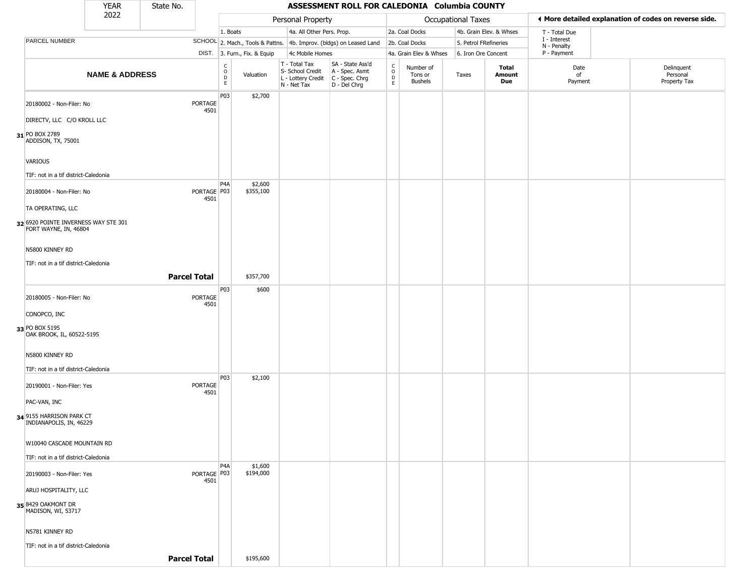|                                                               | YEAR                      | State No. |                       |                  |                              |                                                                        | ASSESSMENT ROLL FOR CALEDONIA Columbia COUNTY                          |                                                 |                                 |                       |                         |                             |                                                       |
|---------------------------------------------------------------|---------------------------|-----------|-----------------------|------------------|------------------------------|------------------------------------------------------------------------|------------------------------------------------------------------------|-------------------------------------------------|---------------------------------|-----------------------|-------------------------|-----------------------------|-------------------------------------------------------|
| 2022                                                          |                           |           |                       |                  |                              | Personal Property                                                      |                                                                        |                                                 |                                 | Occupational Taxes    |                         |                             | ♦ More detailed explanation of codes on reverse side. |
|                                                               |                           |           |                       | 1. Boats         |                              | 4a. All Other Pers. Prop.                                              |                                                                        |                                                 | 2a. Coal Docks                  |                       | 4b. Grain Elev. & Whses | T - Total Due               |                                                       |
| PARCEL NUMBER                                                 |                           |           |                       |                  |                              |                                                                        | SCHOOL 2. Mach., Tools & Pattns. 4b. Improv. (bldgs) on Leased Land    |                                                 | 2b. Coal Docks                  | 5. Petrol FRefineries |                         | I - Interest<br>N - Penalty |                                                       |
|                                                               |                           |           |                       |                  | DIST. 3. Furn., Fix. & Equip | 4c Mobile Homes                                                        |                                                                        |                                                 | 4a. Grain Elev & Whses          | 6. Iron Ore Concent   |                         | P - Payment                 |                                                       |
|                                                               | <b>NAME &amp; ADDRESS</b> |           |                       | 0<br>E           | Valuation                    | T - Total Tax<br>S- School Credit<br>L - Lottery Credit<br>N - Net Tax | SA - State Ass'd<br>A - Spec. Asmt<br>$C - Spec. Chrg$<br>D - Del Chrg | $\begin{array}{c} C \\ O \\ D \\ E \end{array}$ | Number of<br>Tons or<br>Bushels | Taxes                 | Total<br>Amount<br>Due  | Date<br>of<br>Payment       | Delinquent<br>Personal<br>Property Tax                |
| 20180002 - Non-Filer: No<br>DIRECTV, LLC C/O KROLL LLC        |                           |           | PORTAGE<br>4501       | P03              | \$2,700                      |                                                                        |                                                                        |                                                 |                                 |                       |                         |                             |                                                       |
| 31 PO BOX 2789<br>ADDISON, TX, 75001                          |                           |           |                       |                  |                              |                                                                        |                                                                        |                                                 |                                 |                       |                         |                             |                                                       |
| <b>VARIOUS</b>                                                |                           |           |                       |                  |                              |                                                                        |                                                                        |                                                 |                                 |                       |                         |                             |                                                       |
| TIF: not in a tif district-Caledonia                          |                           |           |                       | P <sub>4</sub> A | \$2,600                      |                                                                        |                                                                        |                                                 |                                 |                       |                         |                             |                                                       |
| 20180004 - Non-Filer: No                                      |                           |           | PORTAGE   P03<br>4501 |                  | \$355,100                    |                                                                        |                                                                        |                                                 |                                 |                       |                         |                             |                                                       |
| TA OPERATING, LLC                                             |                           |           |                       |                  |                              |                                                                        |                                                                        |                                                 |                                 |                       |                         |                             |                                                       |
| 32 6920 POINTE INVERNESS WAY STE 301<br>FORT WAYNE, IN, 46804 |                           |           |                       |                  |                              |                                                                        |                                                                        |                                                 |                                 |                       |                         |                             |                                                       |
| N5800 KINNEY RD                                               |                           |           |                       |                  |                              |                                                                        |                                                                        |                                                 |                                 |                       |                         |                             |                                                       |
| TIF: not in a tif district-Caledonia                          |                           |           | <b>Parcel Total</b>   |                  | \$357,700                    |                                                                        |                                                                        |                                                 |                                 |                       |                         |                             |                                                       |
| 20180005 - Non-Filer: No                                      |                           |           | PORTAGE<br>4501       | P03              | \$600                        |                                                                        |                                                                        |                                                 |                                 |                       |                         |                             |                                                       |
| CONOPCO, INC                                                  |                           |           |                       |                  |                              |                                                                        |                                                                        |                                                 |                                 |                       |                         |                             |                                                       |
| 33 PO BOX 5195<br>OAK BROOK, IL, 60522-5195                   |                           |           |                       |                  |                              |                                                                        |                                                                        |                                                 |                                 |                       |                         |                             |                                                       |
| N5800 KINNEY RD                                               |                           |           |                       |                  |                              |                                                                        |                                                                        |                                                 |                                 |                       |                         |                             |                                                       |
| TIF: not in a tif district-Caledonia                          |                           |           |                       |                  |                              |                                                                        |                                                                        |                                                 |                                 |                       |                         |                             |                                                       |
| 20190001 - Non-Filer: Yes                                     |                           |           | PORTAGE<br>4501       | P03              | \$2,100                      |                                                                        |                                                                        |                                                 |                                 |                       |                         |                             |                                                       |
| PAC-VAN, INC                                                  |                           |           |                       |                  |                              |                                                                        |                                                                        |                                                 |                                 |                       |                         |                             |                                                       |
| 34 9155 HARRISON PARK CT<br>INDIANAPOLIS, IN, 46229           |                           |           |                       |                  |                              |                                                                        |                                                                        |                                                 |                                 |                       |                         |                             |                                                       |
| W10040 CASCADE MOUNTAIN RD                                    |                           |           |                       |                  |                              |                                                                        |                                                                        |                                                 |                                 |                       |                         |                             |                                                       |
| TIF: not in a tif district-Caledonia                          |                           |           |                       | P <sub>4</sub> A | \$1,600                      |                                                                        |                                                                        |                                                 |                                 |                       |                         |                             |                                                       |
| 20190003 - Non-Filer: Yes                                     |                           |           | PORTAGE P03<br>4501   |                  | \$194,000                    |                                                                        |                                                                        |                                                 |                                 |                       |                         |                             |                                                       |
| ARUJ HOSPITALITY, LLC                                         |                           |           |                       |                  |                              |                                                                        |                                                                        |                                                 |                                 |                       |                         |                             |                                                       |
| 35 8429 OAKMONT DR<br>MADISON, WI, 53717                      |                           |           |                       |                  |                              |                                                                        |                                                                        |                                                 |                                 |                       |                         |                             |                                                       |
| N5781 KINNEY RD                                               |                           |           |                       |                  |                              |                                                                        |                                                                        |                                                 |                                 |                       |                         |                             |                                                       |
| TIF: not in a tif district-Caledonia                          |                           |           | <b>Parcel Total</b>   |                  | \$195,600                    |                                                                        |                                                                        |                                                 |                                 |                       |                         |                             |                                                       |
|                                                               |                           |           |                       |                  |                              |                                                                        |                                                                        |                                                 |                                 |                       |                         |                             |                                                       |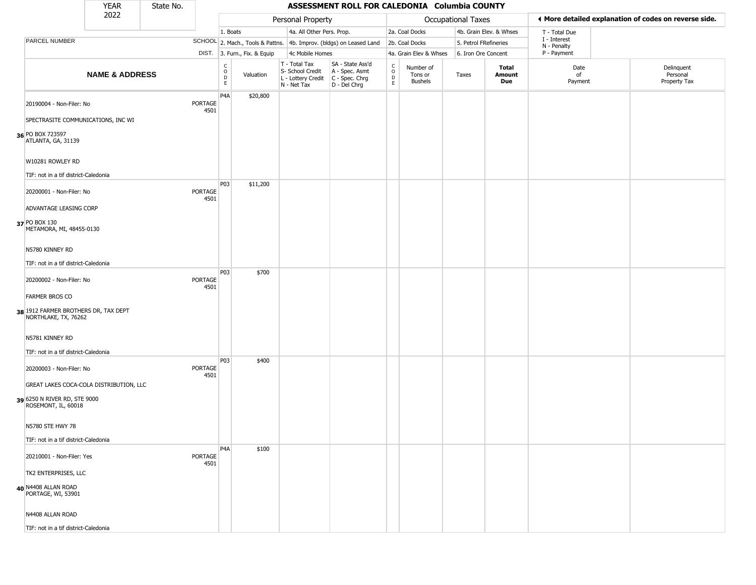|                                                              | <b>YEAR</b>                             | State No. |                 |                                                 |                              |                                                                                         | ASSESSMENT ROLL FOR CALEDONIA Columbia COUNTY                       |                  |                                        |                    |                         |                             |                                                       |
|--------------------------------------------------------------|-----------------------------------------|-----------|-----------------|-------------------------------------------------|------------------------------|-----------------------------------------------------------------------------------------|---------------------------------------------------------------------|------------------|----------------------------------------|--------------------|-------------------------|-----------------------------|-------------------------------------------------------|
|                                                              | 2022                                    |           |                 |                                                 |                              | Personal Property                                                                       |                                                                     |                  |                                        | Occupational Taxes |                         |                             | ◀ More detailed explanation of codes on reverse side. |
|                                                              |                                         |           |                 | 1. Boats                                        |                              | 4a. All Other Pers. Prop.                                                               |                                                                     |                  | 2a. Coal Docks                         |                    | 4b. Grain Elev. & Whses | T - Total Due               |                                                       |
| PARCEL NUMBER                                                |                                         |           |                 |                                                 |                              |                                                                                         | SCHOOL 2. Mach., Tools & Pattns. 4b. Improv. (bldgs) on Leased Land |                  | 2b. Coal Docks                         |                    | 5. Petrol FRefineries   | I - Interest<br>N - Penalty |                                                       |
|                                                              |                                         |           |                 |                                                 | DIST. 3. Furn., Fix. & Equip | 4c Mobile Homes                                                                         |                                                                     |                  | 4a. Grain Elev & Whses                 |                    | 6. Iron Ore Concent     | P - Payment                 |                                                       |
|                                                              | <b>NAME &amp; ADDRESS</b>               |           |                 | $\begin{array}{c} C \\ O \\ D \\ E \end{array}$ | Valuation                    | T - Total Tax<br>S- School Credit<br>L - Lottery Credit   C - Spec. Chrg<br>N - Net Tax | SA - State Ass'd<br>A - Spec. Asmt<br>D - Del Chrg                  | C<br>D<br>D<br>E | Number of<br>Tons or<br><b>Bushels</b> | Taxes              | Total<br>Amount<br>Due  | Date<br>of<br>Payment       | Delinquent<br>Personal<br>Property Tax                |
| 20190004 - Non-Filer: No                                     |                                         |           | PORTAGE<br>4501 | P <sub>4</sub> A                                | \$20,800                     |                                                                                         |                                                                     |                  |                                        |                    |                         |                             |                                                       |
| 36 PO BOX 723597<br>ATLANTA, GA, 31139                       | SPECTRASITE COMMUNICATIONS, INC WI      |           |                 |                                                 |                              |                                                                                         |                                                                     |                  |                                        |                    |                         |                             |                                                       |
| W10281 ROWLEY RD                                             |                                         |           |                 |                                                 |                              |                                                                                         |                                                                     |                  |                                        |                    |                         |                             |                                                       |
| TIF: not in a tif district-Caledonia                         |                                         |           |                 |                                                 |                              |                                                                                         |                                                                     |                  |                                        |                    |                         |                             |                                                       |
| 20200001 - Non-Filer: No                                     |                                         |           | PORTAGE<br>4501 | P03                                             | \$11,200                     |                                                                                         |                                                                     |                  |                                        |                    |                         |                             |                                                       |
| ADVANTAGE LEASING CORP                                       |                                         |           |                 |                                                 |                              |                                                                                         |                                                                     |                  |                                        |                    |                         |                             |                                                       |
| 37 PO BOX 130<br>METAMORA, MI, 48455-0130                    |                                         |           |                 |                                                 |                              |                                                                                         |                                                                     |                  |                                        |                    |                         |                             |                                                       |
| N5780 KINNEY RD                                              |                                         |           |                 |                                                 |                              |                                                                                         |                                                                     |                  |                                        |                    |                         |                             |                                                       |
| TIF: not in a tif district-Caledonia                         |                                         |           |                 |                                                 |                              |                                                                                         |                                                                     |                  |                                        |                    |                         |                             |                                                       |
| 20200002 - Non-Filer: No                                     |                                         |           | PORTAGE<br>4501 | P03                                             | \$700                        |                                                                                         |                                                                     |                  |                                        |                    |                         |                             |                                                       |
| <b>FARMER BROS CO</b>                                        |                                         |           |                 |                                                 |                              |                                                                                         |                                                                     |                  |                                        |                    |                         |                             |                                                       |
| 38 1912 FARMER BROTHERS DR, TAX DEPT<br>NORTHLAKE, TX, 76262 |                                         |           |                 |                                                 |                              |                                                                                         |                                                                     |                  |                                        |                    |                         |                             |                                                       |
| N5781 KINNEY RD                                              |                                         |           |                 |                                                 |                              |                                                                                         |                                                                     |                  |                                        |                    |                         |                             |                                                       |
| TIF: not in a tif district-Caledonia                         |                                         |           |                 |                                                 |                              |                                                                                         |                                                                     |                  |                                        |                    |                         |                             |                                                       |
| 20200003 - Non-Filer: No                                     |                                         |           | PORTAGE<br>4501 | P03                                             | \$400                        |                                                                                         |                                                                     |                  |                                        |                    |                         |                             |                                                       |
|                                                              | GREAT LAKES COCA-COLA DISTRIBUTION, LLC |           |                 |                                                 |                              |                                                                                         |                                                                     |                  |                                        |                    |                         |                             |                                                       |
| 39 6250 N RIVER RD, STE 9000<br>ROSEMONT, IL, 60018          |                                         |           |                 |                                                 |                              |                                                                                         |                                                                     |                  |                                        |                    |                         |                             |                                                       |
| N5780 STE HWY 78                                             |                                         |           |                 |                                                 |                              |                                                                                         |                                                                     |                  |                                        |                    |                         |                             |                                                       |
| TIF: not in a tif district-Caledonia                         |                                         |           |                 |                                                 |                              |                                                                                         |                                                                     |                  |                                        |                    |                         |                             |                                                       |
| 20210001 - Non-Filer: Yes                                    |                                         |           | PORTAGE<br>4501 | P <sub>4</sub> A                                | \$100                        |                                                                                         |                                                                     |                  |                                        |                    |                         |                             |                                                       |
| TK2 ENTERPRISES, LLC                                         |                                         |           |                 |                                                 |                              |                                                                                         |                                                                     |                  |                                        |                    |                         |                             |                                                       |
| 40 N4408 ALLAN ROAD<br>PORTAGE, WI, 53901                    |                                         |           |                 |                                                 |                              |                                                                                         |                                                                     |                  |                                        |                    |                         |                             |                                                       |
| N4408 ALLAN ROAD                                             |                                         |           |                 |                                                 |                              |                                                                                         |                                                                     |                  |                                        |                    |                         |                             |                                                       |
| TIF: not in a tif district-Caledonia                         |                                         |           |                 |                                                 |                              |                                                                                         |                                                                     |                  |                                        |                    |                         |                             |                                                       |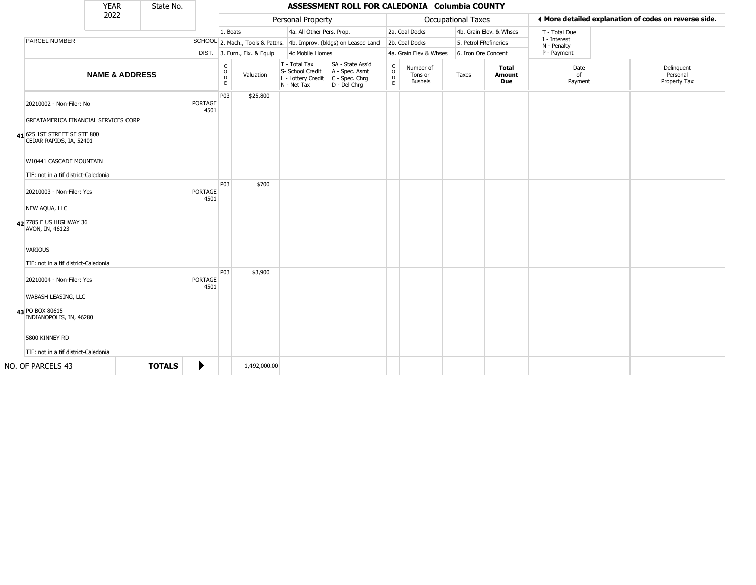|                                                                                                                             | <b>YEAR</b>               | State No.     |                        |                        |                              |                                                                        | ASSESSMENT ROLL FOR CALEDONIA Columbia COUNTY                          |                         |                                        |                       |                               |                             |                                                       |
|-----------------------------------------------------------------------------------------------------------------------------|---------------------------|---------------|------------------------|------------------------|------------------------------|------------------------------------------------------------------------|------------------------------------------------------------------------|-------------------------|----------------------------------------|-----------------------|-------------------------------|-----------------------------|-------------------------------------------------------|
|                                                                                                                             | 2022                      |               |                        |                        |                              | Personal Property                                                      |                                                                        |                         |                                        | Occupational Taxes    |                               |                             | ♦ More detailed explanation of codes on reverse side. |
|                                                                                                                             |                           |               |                        | 1. Boats               |                              | 4a. All Other Pers. Prop.                                              |                                                                        |                         | 2a. Coal Docks                         |                       | 4b. Grain Elev. & Whses       | T - Total Due               |                                                       |
| PARCEL NUMBER                                                                                                               |                           |               |                        |                        |                              |                                                                        | SCHOOL 2. Mach., Tools & Pattns. 4b. Improv. (bldgs) on Leased Land    |                         | 2b. Coal Docks                         | 5. Petrol FRefineries |                               | I - Interest<br>N - Penalty |                                                       |
|                                                                                                                             |                           |               |                        |                        | DIST. 3. Furn., Fix. & Equip | 4c Mobile Homes                                                        |                                                                        |                         | 4a. Grain Elev & Whses                 | 6. Iron Ore Concent   |                               | P - Payment                 |                                                       |
|                                                                                                                             | <b>NAME &amp; ADDRESS</b> |               |                        | C<br>$\circ$<br>D<br>E | Valuation                    | T - Total Tax<br>S- School Credit<br>L - Lottery Credit<br>N - Net Tax | SA - State Ass'd<br>A - Spec. Asmt<br>$C - Spec. Chrg$<br>D - Del Chrq | $\frac{c}{0}$<br>D<br>E | Number of<br>Tons or<br><b>Bushels</b> | Taxes                 | <b>Total</b><br>Amount<br>Due | Date<br>of<br>Payment       | Delinquent<br>Personal<br>Property Tax                |
| 20210002 - Non-Filer: No<br>GREATAMERICA FINANCIAL SERVICES CORP<br>41 625 1ST STREET SE STE 800<br>CEDAR RAPIDS, IA, 52401 |                           |               | <b>PORTAGE</b><br>4501 | P03                    | \$25,800                     |                                                                        |                                                                        |                         |                                        |                       |                               |                             |                                                       |
| W10441 CASCADE MOUNTAIN<br>TIF: not in a tif district-Caledonia                                                             |                           |               |                        |                        |                              |                                                                        |                                                                        |                         |                                        |                       |                               |                             |                                                       |
| 20210003 - Non-Filer: Yes<br>NEW AQUA, LLC<br>42 7785 E US HIGHWAY 36<br>AVON, IN, 46123                                    |                           |               | PORTAGE<br>4501        | P03                    | \$700                        |                                                                        |                                                                        |                         |                                        |                       |                               |                             |                                                       |
| <b>VARIOUS</b><br>TIF: not in a tif district-Caledonia                                                                      |                           |               |                        |                        |                              |                                                                        |                                                                        |                         |                                        |                       |                               |                             |                                                       |
| 20210004 - Non-Filer: Yes<br>WABASH LEASING, LLC<br>43 PO BOX 80615                                                         |                           |               | PORTAGE<br>4501        | P03                    | \$3,900                      |                                                                        |                                                                        |                         |                                        |                       |                               |                             |                                                       |
| INDIANOPOLIS, IN, 46280<br>5800 KINNEY RD<br>TIF: not in a tif district-Caledonia                                           |                           |               |                        |                        |                              |                                                                        |                                                                        |                         |                                        |                       |                               |                             |                                                       |
| NO. OF PARCELS 43                                                                                                           |                           | <b>TOTALS</b> | ▶                      |                        | 1,492,000.00                 |                                                                        |                                                                        |                         |                                        |                       |                               |                             |                                                       |